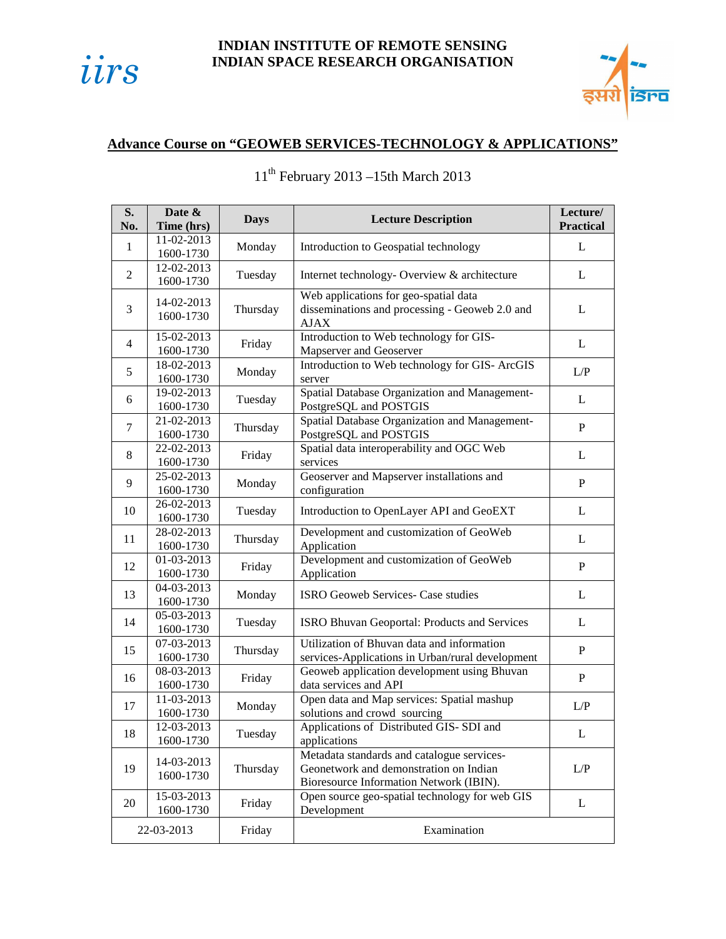

## **INDIAN INSTITUTE OF REMOTE SENSING INDIAN SPACE RESEARCH ORGANISATION**



## **Advance Course on "GEOWEB SERVICES-TECHNOLOGY & APPLICATIONS"**

| S.<br>No.      | Date &<br>Time (hrs)      | <b>Days</b> | <b>Lecture Description</b>                                                                                                      | Lecture/<br><b>Practical</b> |
|----------------|---------------------------|-------------|---------------------------------------------------------------------------------------------------------------------------------|------------------------------|
| $\mathbf{1}$   | 11-02-2013<br>1600-1730   | Monday      | Introduction to Geospatial technology                                                                                           | L                            |
| $\overline{2}$ | 12-02-2013<br>1600-1730   | Tuesday     | Internet technology- Overview & architecture                                                                                    | L                            |
| 3              | 14-02-2013<br>1600-1730   | Thursday    | Web applications for geo-spatial data<br>disseminations and processing - Geoweb 2.0 and<br><b>AJAX</b>                          | L                            |
| 4              | 15-02-2013<br>1600-1730   | Friday      | Introduction to Web technology for GIS-<br>Mapserver and Geoserver                                                              | L                            |
| 5              | 18-02-2013<br>1600-1730   | Monday      | Introduction to Web technology for GIS- ArcGIS<br>server                                                                        | L/P                          |
| 6              | $19-02-2013$<br>1600-1730 | Tuesday     | Spatial Database Organization and Management-<br>PostgreSQL and POSTGIS                                                         | L                            |
| $\tau$         | 21-02-2013<br>1600-1730   | Thursday    | Spatial Database Organization and Management-<br>PostgreSQL and POSTGIS                                                         | $\mathbf P$                  |
| 8              | 22-02-2013<br>1600-1730   | Friday      | Spatial data interoperability and OGC Web<br>services                                                                           | L                            |
| 9              | 25-02-2013<br>1600-1730   | Monday      | Geoserver and Mapserver installations and<br>configuration                                                                      | $\mathbf P$                  |
| 10             | 26-02-2013<br>1600-1730   | Tuesday     | Introduction to OpenLayer API and GeoEXT                                                                                        | L                            |
| 11             | 28-02-2013<br>1600-1730   | Thursday    | Development and customization of GeoWeb<br>Application                                                                          | L                            |
| 12             | 01-03-2013<br>1600-1730   | Friday      | Development and customization of GeoWeb<br>Application                                                                          | $\mathbf P$                  |
| 13             | 04-03-2013<br>1600-1730   | Monday      | ISRO Geoweb Services- Case studies                                                                                              | L                            |
| 14             | 05-03-2013<br>1600-1730   | Tuesday     | ISRO Bhuvan Geoportal: Products and Services                                                                                    | L                            |
| 15             | 07-03-2013<br>1600-1730   | Thursday    | Utilization of Bhuvan data and information<br>services-Applications in Urban/rural development                                  | $\mathbf{P}$                 |
| 16             | 08-03-2013<br>1600-1730   | Friday      | Geoweb application development using Bhuvan<br>data services and API                                                            | $\mathbf{P}$                 |
| 17             | 11-03-2013<br>1600-1730   | Monday      | Open data and Map services: Spatial mashup<br>solutions and crowd sourcing                                                      | L/P                          |
| 18             | 12-03-2013<br>1600-1730   | Tuesday     | Applications of Distributed GIS- SDI and<br>applications                                                                        | L                            |
| 19             | 14-03-2013<br>1600-1730   | Thursday    | Metadata standards and catalogue services-<br>Geonetwork and demonstration on Indian<br>Bioresource Information Network (IBIN). | L/P                          |
| 20             | 15-03-2013<br>1600-1730   | Friday      | Open source geo-spatial technology for web GIS<br>Development                                                                   | L                            |
| 22-03-2013     |                           | Friday      | Examination                                                                                                                     |                              |

## $11^{\text{th}}$ February 2013 –15th March 2013